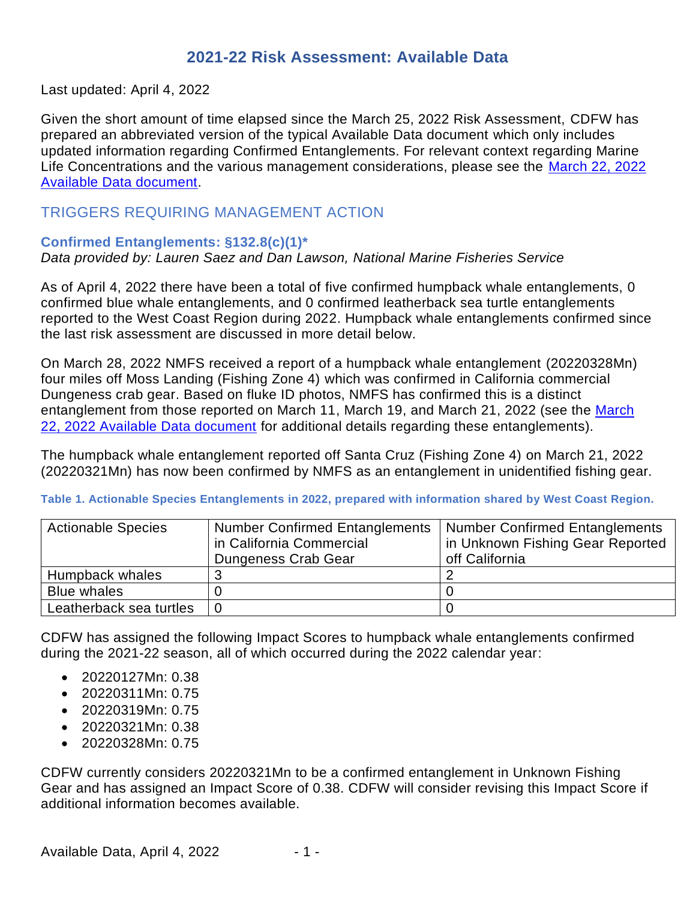# **2021-22 Risk Assessment: Available Data**

Last updated: April 4, 2022

Given the short amount of time elapsed since the March 25, 2022 Risk Assessment, CDFW has prepared an abbreviated version of the typical Available Data document which only includes updated information regarding Confirmed Entanglements. For relevant context regarding Marine Life Concentrations and the various management considerations, please see the [March 22, 2022](https://nrm.dfg.ca.gov/FileHandler.ashx?DocumentID=199423&inline)  [Available Data document.](https://nrm.dfg.ca.gov/FileHandler.ashx?DocumentID=199423&inline)

## TRIGGERS REQUIRING MANAGEMENT ACTION

### **Confirmed Entanglements: §132.8(c)(1)\***

### *Data provided by: Lauren Saez and Dan Lawson, National Marine Fisheries Service*

As of April 4, 2022 there have been a total of five confirmed humpback whale entanglements, 0 confirmed blue whale entanglements, and 0 confirmed leatherback sea turtle entanglements reported to the West Coast Region during 2022. Humpback whale entanglements confirmed since the last risk assessment are discussed in more detail below.

On March 28, 2022 NMFS received a report of a humpback whale entanglement (20220328Mn) four miles off Moss Landing (Fishing Zone 4) which was confirmed in California commercial Dungeness crab gear. Based on fluke ID photos, NMFS has confirmed this is a distinct entanglement from those reported on [March](https://nrm.dfg.ca.gov/FileHandler.ashx?DocumentID=199423&inline) 11, March 19, and March 21, 2022 (see the March [22, 2022 Available Data document](https://nrm.dfg.ca.gov/FileHandler.ashx?DocumentID=199423&inline) for additional details regarding these entanglements).

The humpback whale entanglement reported off Santa Cruz (Fishing Zone 4) on March 21, 2022 (20220321Mn) has now been confirmed by NMFS as an entanglement in unidentified fishing gear.

#### **Table 1. Actionable Species Entanglements in 2022, prepared with information shared by West Coast Region.**

| <b>Actionable Species</b> | <b>Number Confirmed Entanglements</b>                        | Number Confirmed Entanglements |  |
|---------------------------|--------------------------------------------------------------|--------------------------------|--|
|                           | in California Commercial<br>in Unknown Fishing Gear Reported |                                |  |
|                           | Dungeness Crab Gear                                          | off California                 |  |
| Humpback whales           |                                                              |                                |  |
| <b>Blue whales</b>        |                                                              |                                |  |
| Leatherback sea turtles   |                                                              |                                |  |

CDFW has assigned the following Impact Scores to humpback whale entanglements confirmed during the 2021-22 season, all of which occurred during the 2022 calendar year:

- 20220127Mn: 0.38
- 20220311Mn: 0.75
- 20220319Mn: 0.75
- 20220321Mn: 0.38
- 20220328Mn: 0.75

CDFW currently considers 20220321Mn to be a confirmed entanglement in Unknown Fishing Gear and has assigned an Impact Score of 0.38. CDFW will consider revising this Impact Score if additional information becomes available.